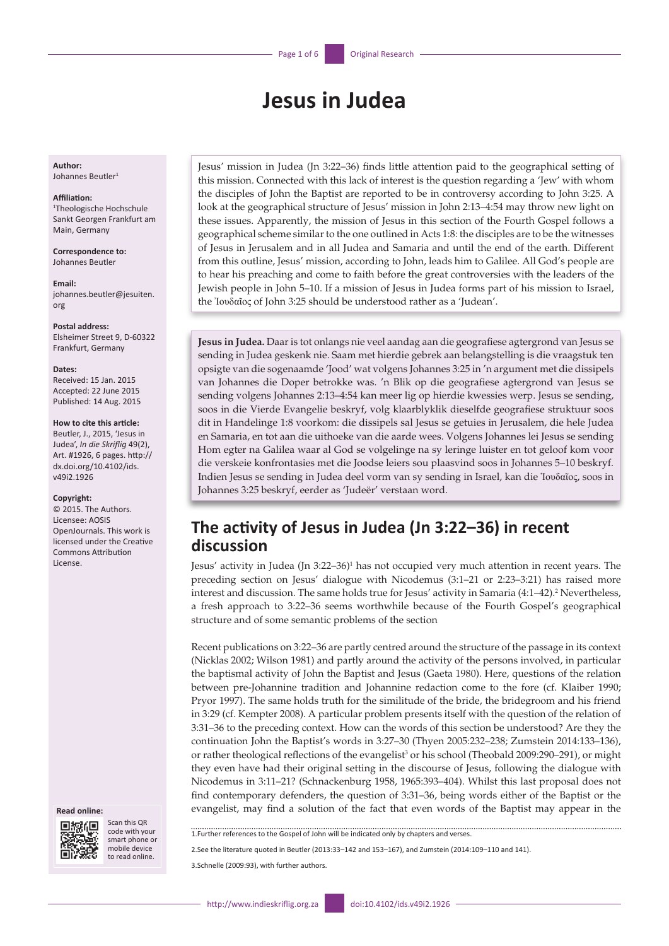# **Jesus in Judea**

#### **Author:** Johannes Beutler<sup>1</sup>

#### **Affiliation:**

1 Theologische Hochschule Sankt Georgen Frankfurt am Main, Germany

**Correspondence to:** Johannes Beutler

**Email:**

[johannes.beutler@jesuiten.](mailto:johannes.beutler@jesuiten.org) [org](mailto:johannes.beutler@jesuiten.org)

**Postal address:** Elsheimer Street 9, D-60322 Frankfurt, Germany

#### **Dates:**

Received: 15 Jan. 2015 Accepted: 22 June 2015 Published: 14 Aug. 2015

#### **How to cite this article:**

Beutler, J., 2015, 'Jesus in Judea', *In die Skriflig* 49(2), Art. #1926, 6 pages. [http://](http://dx.doi.org/10.4102/ids.v49i2.1926) [dx.doi.org/10.4102/ids.](http://dx.doi.org/10.4102/ids.v49i2.1926) [v49i2.1926](http://dx.doi.org/10.4102/ids.v49i2.1926)

#### **Copyright:**

© 2015. The Authors. Licensee: AOSIS OpenJournals. This work is licensed under the Creative Commons Attribution License.

#### **Read online:**



Scan this QR code with your smart phone or mobile device to read online.

Jesus' mission in Judea (Jn 3:22–36) finds little attention paid to the geographical setting of this mission. Connected with this lack of interest is the question regarding a 'Jew' with whom the disciples of John the Baptist are reported to be in controversy according to John 3:25. A look at the geographical structure of Jesus' mission in John 2:13–4:54 may throw new light on these issues. Apparently, the mission of Jesus in this section of the Fourth Gospel follows a geographical scheme similar to the one outlined in Acts 1:8: the disciples are to be the witnesses of Jesus in Jerusalem and in all Judea and Samaria and until the end of the earth. Different from this outline, Jesus' mission, according to John, leads him to Galilee. All God's people are to hear his preaching and come to faith before the great controversies with the leaders of the Jewish people in John 5–10. If a mission of Jesus in Judea forms part of his mission to Israel, the Ἰουδαῖος of John 3:25 should be understood rather as a 'Judean'.

**Jesus in Judea.** Daar is tot onlangs nie veel aandag aan die geografiese agtergrond van Jesus se sending in Judea geskenk nie. Saam met hierdie gebrek aan belangstelling is die vraagstuk ten opsigte van die sogenaamde 'Jood' wat volgens Johannes 3:25 in 'n argument met die dissipels van Johannes die Doper betrokke was. 'n Blik op die geografiese agtergrond van Jesus se sending volgens Johannes 2:13–4:54 kan meer lig op hierdie kwessies werp. Jesus se sending, soos in die Vierde Evangelie beskryf, volg klaarblyklik dieselfde geografiese struktuur soos dit in Handelinge 1:8 voorkom: die dissipels sal Jesus se getuies in Jerusalem, die hele Judea en Samaria, en tot aan die uithoeke van die aarde wees. Volgens Johannes lei Jesus se sending Hom egter na Galilea waar al God se volgelinge na sy leringe luister en tot geloof kom voor die verskeie konfrontasies met die Joodse leiers sou plaasvind soos in Johannes 5–10 beskryf. Indien Jesus se sending in Judea deel vorm van sy sending in Israel, kan die Ἰουδαῖος, soos in Johannes 3:25 beskryf, eerder as 'Judeër' verstaan word.

## **The activity of Jesus in Judea (Jn 3:22–36) in recent discussion**

Jesus' activity in Judea (Jn 3:22–36)<sup>1</sup> has not occupied very much attention in recent years. The preceding section on Jesus' dialogue with Nicodemus (3:1–21 or 2:23–3:21) has raised more interest and discussion. The same holds true for Jesus' activity in Samaria (4:1–42).<sup>2</sup> Nevertheless, a fresh approach to 3:22–36 seems worthwhile because of the Fourth Gospel's geographical structure and of some semantic problems of the section

Recent publications on 3:22–36 are partly centred around the structure of the passage in its context (Nicklas 2002; Wilson 1981) and partly around the activity of the persons involved, in particular the baptismal activity of John the Baptist and Jesus (Gaeta 1980). Here, questions of the relation between pre-Johannine tradition and Johannine redaction come to the fore (cf. Klaiber 1990; Pryor 1997). The same holds truth for the similitude of the bride, the bridegroom and his friend in 3:29 (cf. Kempter 2008). A particular problem presents itself with the question of the relation of 3:31–36 to the preceding context. How can the words of this section be understood? Are they the continuation John the Baptist's words in 3:27–30 (Thyen 2005:232–238; Zumstein 2014:133–136), or rather theological reflections of the evangelist<sup>3</sup> or his school (Theobald 2009:290-291), or might they even have had their original setting in the discourse of Jesus, following the dialogue with Nicodemus in 3:11–21? (Schnackenburg 1958, 1965:393–404). Whilst this last proposal does not find contemporary defenders, the question of 3:31–36, being words either of the Baptist or the evangelist, may find a solution of the fact that even words of the Baptist may appear in the

1.Further references to the Gospel of John will be indicated only by chapters and verses.

2.See the literature quoted in Beutler (2013:33–142 and 153–167), and Zumstein (2014:109–110 and 141).

3.Schnelle (2009:93), with further authors.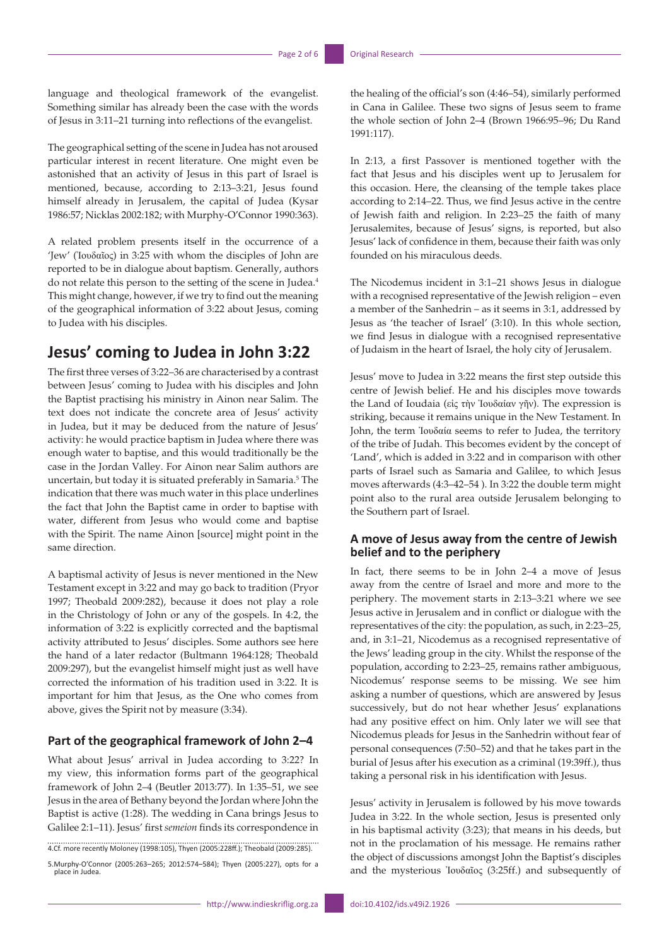language and theological framework of the evangelist. Something similar has already been the case with the words of Jesus in 3:11–21 turning into reflections of the evangelist.

The geographical setting of the scene in Judea has not aroused particular interest in recent literature. One might even be astonished that an activity of Jesus in this part of Israel is mentioned, because, according to 2:13–3:21, Jesus found himself already in Jerusalem, the capital of Judea (Kysar 1986:57; Nicklas 2002:182; with Murphy-O'Connor 1990:363).

A related problem presents itself in the occurrence of a 'Jew' (Ἰουδαῖος) in 3:25 with whom the disciples of John are reported to be in dialogue about baptism. Generally, authors do not relate this person to the setting of the scene in Judea.4 This might change, however, if we try to find out the meaning of the geographical information of 3:22 about Jesus, coming to Judea with his disciples.

## **Jesus' coming to Judea in John 3:22**

The first three verses of 3:22–36 are characterised by a contrast between Jesus' coming to Judea with his disciples and John the Baptist practising his ministry in Ainon near Salim. The text does not indicate the concrete area of Jesus' activity in Judea, but it may be deduced from the nature of Jesus' activity: he would practice baptism in Judea where there was enough water to baptise, and this would traditionally be the case in the Jordan Valley. For Ainon near Salim authors are uncertain, but today it is situated preferably in Samaria.<sup>5</sup> The indication that there was much water in this place underlines the fact that John the Baptist came in order to baptise with water, different from Jesus who would come and baptise with the Spirit. The name Ainon [source] might point in the same direction.

A baptismal activity of Jesus is never mentioned in the New Testament except in 3:22 and may go back to tradition (Pryor 1997; Theobald 2009:282), because it does not play a role in the Christology of John or any of the gospels. In 4:2, the information of 3:22 is explicitly corrected and the baptismal activity attributed to Jesus' disciples. Some authors see here the hand of a later redactor (Bultmann 1964:128; Theobald 2009:297), but the evangelist himself might just as well have corrected the information of his tradition used in 3:22. It is important for him that Jesus, as the One who comes from above, gives the Spirit not by measure (3:34).

### **Part of the geographical framework of John 2–4**

What about Jesus' arrival in Judea according to 3:22? In my view, this information forms part of the geographical framework of John 2–4 (Beutler 2013:77). In 1:35–51, we see Jesus in the area of Bethany beyond the Jordan where John the Baptist is active (1:28). The wedding in Cana brings Jesus to Galilee 2:1–11). Jesus' first *semeion* finds its correspondence in

4.Cf. more recently Moloney (1998:105), Thyen (2005:228ff.); Theobald (2009:285).

the healing of the official's son (4:46–54), similarly performed in Cana in Galilee. These two signs of Jesus seem to frame the whole section of John 2–4 (Brown 1966:95–96; Du Rand 1991:117).

In 2:13, a first Passover is mentioned together with the fact that Jesus and his disciples went up to Jerusalem for this occasion. Here, the cleansing of the temple takes place according to 2:14–22. Thus, we find Jesus active in the centre of Jewish faith and religion. In 2:23–25 the faith of many Jerusalemites, because of Jesus' signs, is reported, but also Jesus' lack of confidence in them, because their faith was only founded on his miraculous deeds.

The Nicodemus incident in 3:1–21 shows Jesus in dialogue with a recognised representative of the Jewish religion – even a member of the Sanhedrin – as it seems in 3:1, addressed by Jesus as 'the teacher of Israel' (3:10). In this whole section, we find Jesus in dialogue with a recognised representative of Judaism in the heart of Israel, the holy city of Jerusalem.

Jesus' move to Judea in 3:22 means the first step outside this centre of Jewish belief. He and his disciples move towards the Land of Ioudaia (εἰς τὴν Ἰουδαίαν γῆν). The expression is striking, because it remains unique in the New Testament. In John, the term Ἰουδαία seems to refer to Judea, the territory of the tribe of Judah. This becomes evident by the concept of 'Land', which is added in 3:22 and in comparison with other parts of Israel such as Samaria and Galilee, to which Jesus moves afterwards (4:3–42–54 ). In 3:22 the double term might point also to the rural area outside Jerusalem belonging to the Southern part of Israel.

### **A move of Jesus away from the centre of Jewish belief and to the periphery**

In fact, there seems to be in John 2–4 a move of Jesus away from the centre of Israel and more and more to the periphery. The movement starts in 2:13–3:21 where we see Jesus active in Jerusalem and in conflict or dialogue with the representatives of the city: the population, as such, in 2:23–25, and, in 3:1–21, Nicodemus as a recognised representative of the Jews' leading group in the city. Whilst the response of the population, according to 2:23–25, remains rather ambiguous, Nicodemus' response seems to be missing. We see him asking a number of questions, which are answered by Jesus successively, but do not hear whether Jesus' explanations had any positive effect on him. Only later we will see that Nicodemus pleads for Jesus in the Sanhedrin without fear of personal consequences (7:50–52) and that he takes part in the burial of Jesus after his execution as a criminal (19:39ff.), thus taking a personal risk in his identification with Jesus.

Jesus' activity in Jerusalem is followed by his move towards Judea in 3:22. In the whole section, Jesus is presented only in his baptismal activity (3:23); that means in his deeds, but not in the proclamation of his message. He remains rather the object of discussions amongst John the Baptist's disciples and the mysterious Ἰουδαῖος (3:25ff.) and subsequently of

<sup>5.</sup>Murphy-O'Connor (2005:263–265; 2012:574–584); Thyen (2005:227), opts for a place in Judea.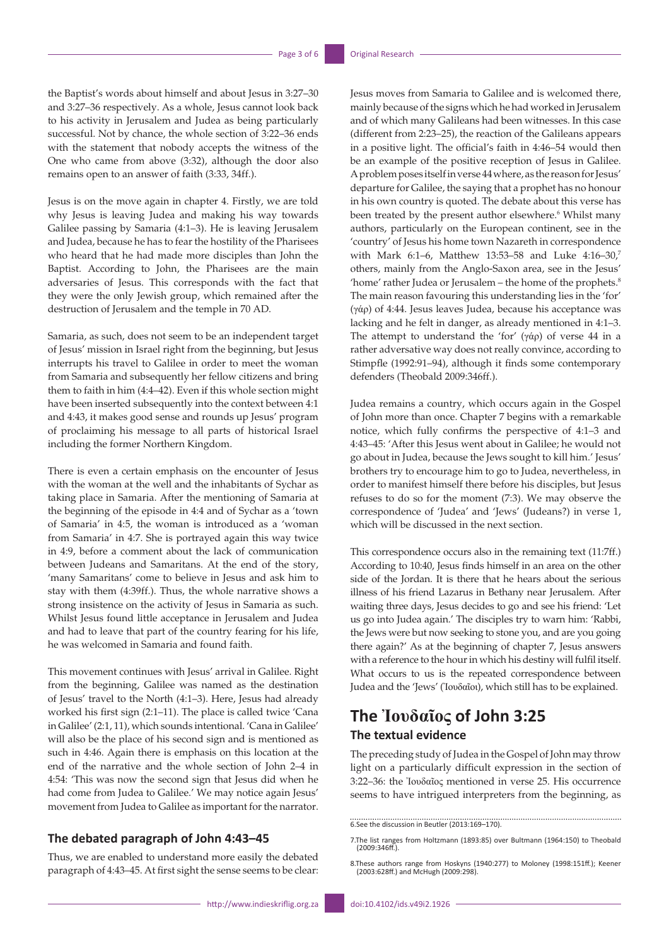the Baptist's words about himself and about Jesus in 3:27–30 and 3:27–36 respectively. As a whole, Jesus cannot look back to his activity in Jerusalem and Judea as being particularly successful. Not by chance, the whole section of 3:22–36 ends with the statement that nobody accepts the witness of the One who came from above (3:32), although the door also remains open to an answer of faith (3:33, 34ff.).

Jesus is on the move again in chapter 4. Firstly, we are told why Jesus is leaving Judea and making his way towards Galilee passing by Samaria (4:1–3). He is leaving Jerusalem and Judea, because he has to fear the hostility of the Pharisees who heard that he had made more disciples than John the Baptist. According to John, the Pharisees are the main adversaries of Jesus. This corresponds with the fact that they were the only Jewish group, which remained after the destruction of Jerusalem and the temple in 70 AD.

Samaria, as such, does not seem to be an independent target of Jesus' mission in Israel right from the beginning, but Jesus interrupts his travel to Galilee in order to meet the woman from Samaria and subsequently her fellow citizens and bring them to faith in him (4:4–42). Even if this whole section might have been inserted subsequently into the context between 4:1 and 4:43, it makes good sense and rounds up Jesus' program of proclaiming his message to all parts of historical Israel including the former Northern Kingdom.

There is even a certain emphasis on the encounter of Jesus with the woman at the well and the inhabitants of Sychar as taking place in Samaria. After the mentioning of Samaria at the beginning of the episode in 4:4 and of Sychar as a 'town of Samaria' in 4:5, the woman is introduced as a 'woman from Samaria' in 4:7. She is portrayed again this way twice in 4:9, before a comment about the lack of communication between Judeans and Samaritans. At the end of the story, 'many Samaritans' come to believe in Jesus and ask him to stay with them (4:39ff.). Thus, the whole narrative shows a strong insistence on the activity of Jesus in Samaria as such. Whilst Jesus found little acceptance in Jerusalem and Judea and had to leave that part of the country fearing for his life, he was welcomed in Samaria and found faith.

This movement continues with Jesus' arrival in Galilee. Right from the beginning, Galilee was named as the destination of Jesus' travel to the North (4:1–3). Here, Jesus had already worked his first sign (2:1–11). The place is called twice 'Cana in Galilee' (2:1, 11), which sounds intentional. 'Cana in Galilee' will also be the place of his second sign and is mentioned as such in 4:46. Again there is emphasis on this location at the end of the narrative and the whole section of John 2–4 in 4:54: 'This was now the second sign that Jesus did when he had come from Judea to Galilee.' We may notice again Jesus' movement from Judea to Galilee as important for the narrator.

### **The debated paragraph of John 4:43–45**

Thus, we are enabled to understand more easily the debated paragraph of 4:43–45. At first sight the sense seems to be clear: Jesus moves from Samaria to Galilee and is welcomed there, mainly because of the signs which he had worked in Jerusalem and of which many Galileans had been witnesses. In this case (different from 2:23–25), the reaction of the Galileans appears in a positive light. The official's faith in 4:46–54 would then be an example of the positive reception of Jesus in Galilee. A problem poses itself in verse 44 where, as the reason for Jesus' departure for Galilee, the saying that a prophet has no honour in his own country is quoted. The debate about this verse has been treated by the present author elsewhere.<sup>6</sup> Whilst many authors, particularly on the European continent, see in the 'country' of Jesus his home town Nazareth in correspondence with Mark 6:1–6, Matthew 13:53–58 and Luke 4:16–30,7 others, mainly from the Anglo-Saxon area, see in the Jesus' 'home' rather Judea or Jerusalem – the home of the prophets.<sup>8</sup> The main reason favouring this understanding lies in the 'for' (γάρ) of 4:44. Jesus leaves Judea, because his acceptance was lacking and he felt in danger, as already mentioned in 4:1–3. The attempt to understand the 'for' (γάρ) of verse 44 in a rather adversative way does not really convince, according to Stimpfle (1992:91–94), although it finds some contemporary defenders (Theobald 2009:346ff.).

Judea remains a country, which occurs again in the Gospel of John more than once. Chapter 7 begins with a remarkable notice, which fully confirms the perspective of 4:1–3 and 4:43–45: 'After this Jesus went about in Galilee; he would not go about in Judea, because the Jews sought to kill him.' Jesus' brothers try to encourage him to go to Judea, nevertheless, in order to manifest himself there before his disciples, but Jesus refuses to do so for the moment (7:3). We may observe the correspondence of 'Judea' and 'Jews' (Judeans?) in verse 1, which will be discussed in the next section.

This correspondence occurs also in the remaining text (11:7ff.) According to 10:40, Jesus finds himself in an area on the other side of the Jordan. It is there that he hears about the serious illness of his friend Lazarus in Bethany near Jerusalem. After waiting three days, Jesus decides to go and see his friend: 'Let us go into Judea again.' The disciples try to warn him: 'Rabbi, the Jews were but now seeking to stone you, and are you going there again?' As at the beginning of chapter 7, Jesus answers with a reference to the hour in which his destiny will fulfil itself. What occurs to us is the repeated correspondence between Judea and the 'Jews' (Ἰουδαῖοι), which still has to be explained.

## **The Ἰουδαῖος of John 3:25 The textual evidence**

The preceding study of Judea in the Gospel of John may throw light on a particularly difficult expression in the section of 3:22–36: the Ἰουδαῖος mentioned in verse 25. His occurrence seems to have intrigued interpreters from the beginning, as

6.See the discussion in Beutler (2013:169–170).

<sup>7.</sup>The list ranges from Holtzmann (1893:85) over Bultmann (1964:150) to Theobald (2009:346ff.).

<sup>8.</sup>These authors range from Hoskyns (1940:277) to Moloney (1998:151ff.); Keener (2003:628ff.) and McHugh (2009:298).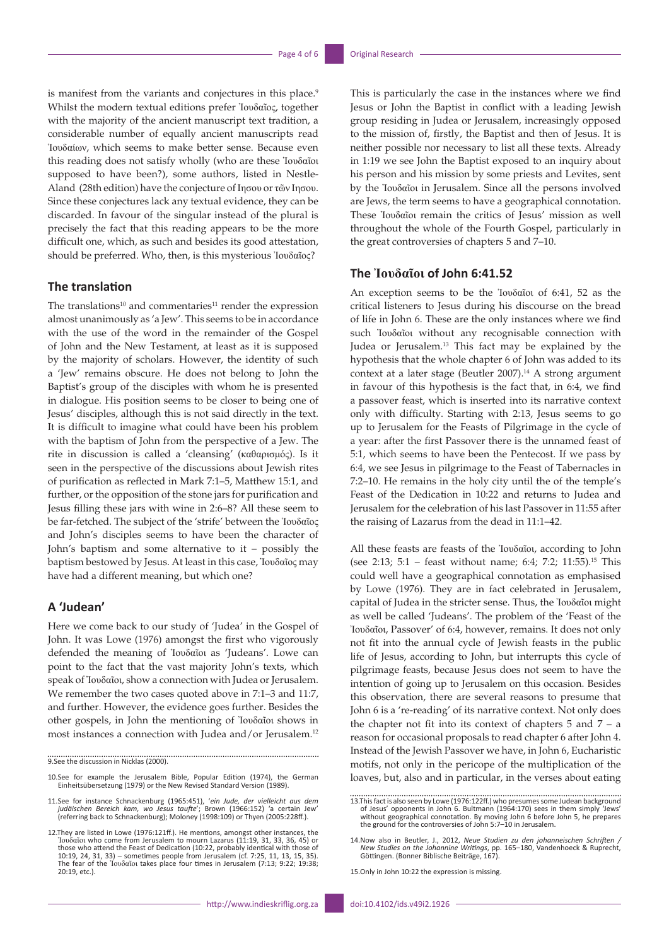is manifest from the variants and conjectures in this place.<sup>9</sup> Whilst the modern textual editions prefer Ἰουδαῖος, together with the majority of the ancient manuscript text tradition, a considerable number of equally ancient manuscripts read Ἰουδαίων, which seems to make better sense. Because even this reading does not satisfy wholly (who are these Ἰουδαῖοι supposed to have been?), some authors, listed in Nestle-Aland (28th edition) have the conjecture of Ιησου or τῶν Ιησου. Since these conjectures lack any textual evidence, they can be discarded. In favour of the singular instead of the plural is precisely the fact that this reading appears to be the more difficult one, which, as such and besides its good attestation, should be preferred. Who, then, is this mysterious Ἰουδαῖος?

### **The translation**

The translations<sup>10</sup> and commentaries<sup>11</sup> render the expression almost unanimously as 'a Jew'. This seems to be in accordance with the use of the word in the remainder of the Gospel of John and the New Testament, at least as it is supposed by the majority of scholars. However, the identity of such a 'Jew' remains obscure. He does not belong to John the Baptist's group of the disciples with whom he is presented in dialogue. His position seems to be closer to being one of Jesus' disciples, although this is not said directly in the text. It is difficult to imagine what could have been his problem with the baptism of John from the perspective of a Jew. The rite in discussion is called a 'cleansing' (καθαρισμός). Is it seen in the perspective of the discussions about Jewish rites of purification as reflected in Mark 7:1–5, Matthew 15:1, and further, or the opposition of the stone jars for purification and Jesus filling these jars with wine in 2:6–8? All these seem to be far-fetched. The subject of the 'strife' between the Ἰουδαῖος and John's disciples seems to have been the character of John's baptism and some alternative to it – possibly the baptism bestowed by Jesus. At least in this case, Ἰουδαῖος may have had a different meaning, but which one?

### **A 'Judean'**

Here we come back to our study of 'Judea' in the Gospel of John. It was Lowe (1976) amongst the first who vigorously defended the meaning of Ἰουδαῖοι as 'Judeans'. Lowe can point to the fact that the vast majority John's texts, which speak of Ἰουδαῖοι, show a connection with Judea or Jerusalem. We remember the two cases quoted above in 7:1–3 and 11:7, and further. However, the evidence goes further. Besides the other gospels, in John the mentioning of Ἰουδαῖοι shows in most instances a connection with Judea and/or Jerusalem.<sup>12</sup>

9.See the discussion in Nicklas (2000).

This is particularly the case in the instances where we find Jesus or John the Baptist in conflict with a leading Jewish group residing in Judea or Jerusalem, increasingly opposed to the mission of, firstly, the Baptist and then of Jesus. It is neither possible nor necessary to list all these texts. Already in 1:19 we see John the Baptist exposed to an inquiry about his person and his mission by some priests and Levites, sent by the Ἰουδαῖοι in Jerusalem. Since all the persons involved are Jews, the term seems to have a geographical connotation. These Ἰουδαῖοι remain the critics of Jesus' mission as well throughout the whole of the Fourth Gospel, particularly in the great controversies of chapters 5 and 7–10.

### **The Ἰουδαῖοι of John 6:41.52**

An exception seems to be the Ἰουδαῖοι of 6:41, 52 as the critical listeners to Jesus during his discourse on the bread of life in John 6. These are the only instances where we find such Ἰουδαῖοι without any recognisable connection with Judea or Jerusalem.<sup>13</sup> This fact may be explained by the hypothesis that the whole chapter 6 of John was added to its context at a later stage (Beutler 2007).<sup>14</sup> A strong argument in favour of this hypothesis is the fact that, in 6:4, we find a passover feast, which is inserted into its narrative context only with difficulty. Starting with 2:13, Jesus seems to go up to Jerusalem for the Feasts of Pilgrimage in the cycle of a year: after the first Passover there is the unnamed feast of 5:1, which seems to have been the Pentecost. If we pass by 6:4, we see Jesus in pilgrimage to the Feast of Tabernacles in 7:2–10. He remains in the holy city until the of the temple's Feast of the Dedication in 10:22 and returns to Judea and Jerusalem for the celebration of his last Passover in 11:55 after the raising of Lazarus from the dead in 11:1–42.

All these feasts are feasts of the Ἰουδαῖοι, according to John (see 2:13; 5:1 – feast without name; 6:4; 7:2; 11:55).<sup>15</sup> This could well have a geographical connotation as emphasised by Lowe (1976). They are in fact celebrated in Jerusalem, capital of Judea in the stricter sense. Thus, the Ἰουδαῖοι might as well be called 'Judeans'. The problem of the 'Feast of the Ἰουδαῖοι, Passover' of 6:4, however, remains. It does not only not fit into the annual cycle of Jewish feasts in the public life of Jesus, according to John, but interrupts this cycle of pilgrimage feasts, because Jesus does not seem to have the intention of going up to Jerusalem on this occasion. Besides this observation, there are several reasons to presume that John 6 is a 're-reading' of its narrative context. Not only does the chapter not fit into its context of chapters 5 and 7 – a reason for occasional proposals to read chapter 6 after John 4. Instead of the Jewish Passover we have, in John 6, Eucharistic motifs, not only in the pericope of the multiplication of the loaves, but, also and in particular, in the verses about eating

14.Now also in Beutler, J., 2012, *Neue Studien zu den johanneischen Schriften / New Studies on the Johannine Writings*, pp. 165–180, Vandenhoeck & Ruprecht, Göttingen. (Bonner Biblische Beiträge, 167).

15.Only in John 10:22 the expression is missing.

<sup>10.</sup>See for example the Jerusalem Bible, Popular Edition (1974), the German Einheitsübersetzung (1979) or the New Revised Standard Version (1989).

<sup>11.</sup>See for instance Schnackenburg (1965:451), 'ein Jude, der vielleicht aus dem<br>judäischen Bereich kam, wo Jesus taufte'; Brown (1966:152) 'a certain Jew'<br>(referring back to Schnackenburg); Moloney (1998:109) or Thyen (200

<sup>12.</sup>They are listed in Lowe (1976:121ff.). He mentions, amongst other instances, the Ιουδαῖοι who come from Jerusalem to mourn Lazarus (11:19, 31, 33, 36, 45) or<br>those who attend the Feast of Dedication (10:22, probably identical with those of<br>10:19, 24, 31, 33) – sometimes people from Jerusalem (cf. 7:25 The fear of the Ἰουδαῖοι takes place four times in Jerusalem (7:13; 9:22; 19:38; 20:19, etc.).

<sup>13.</sup>This fact is also seen by Lowe (1976:122ff.) who presumes some Judean background of Jesus' opponents in John 6. Bultmann (1964:170) sees in them simply 'Jews' without geographical connotation. By moving John 6 before John 5, he prepares the ground for the controversies of John 5:7–10 in Jerusalem.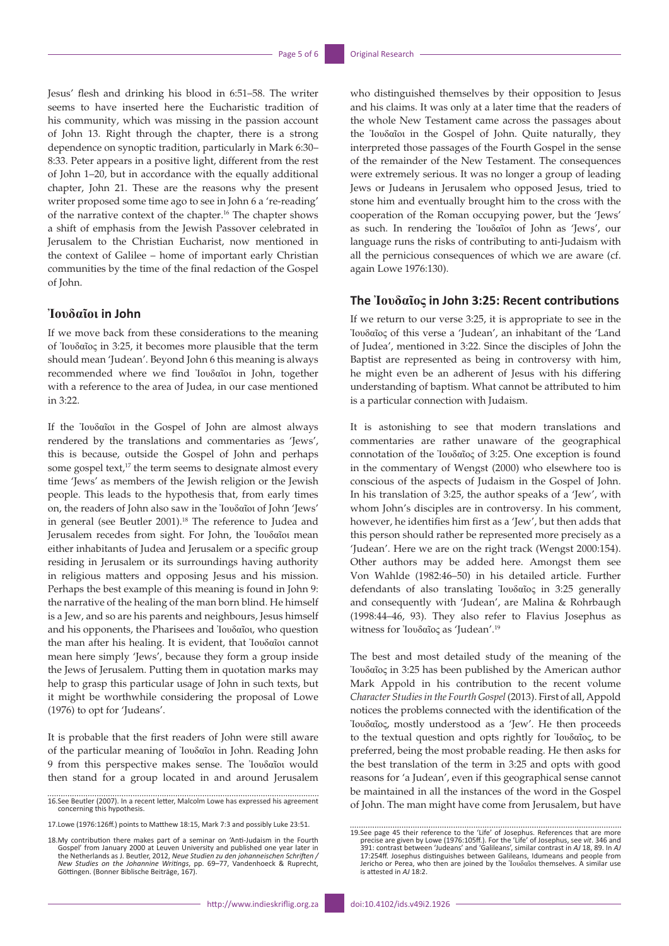Jesus' flesh and drinking his blood in 6:51–58. The writer seems to have inserted here the Eucharistic tradition of his community, which was missing in the passion account of John 13. Right through the chapter, there is a strong dependence on synoptic tradition, particularly in Mark 6:30– 8:33. Peter appears in a positive light, different from the rest of John 1–20, but in accordance with the equally additional chapter, John 21. These are the reasons why the present writer proposed some time ago to see in John 6 a 're-reading' of the narrative context of the chapter.16 The chapter shows a shift of emphasis from the Jewish Passover celebrated in Jerusalem to the Christian Eucharist, now mentioned in the context of Galilee – home of important early Christian communities by the time of the final redaction of the Gospel of John.

### **Ἰουδαῖοι in John**

If we move back from these considerations to the meaning of Ἰουδαῖος in 3:25, it becomes more plausible that the term should mean 'Judean'. Beyond John 6 this meaning is always recommended where we find Ἰουδαῖοι in John, together with a reference to the area of Judea, in our case mentioned in 3:22.

If the Ἰουδαῖοι in the Gospel of John are almost always rendered by the translations and commentaries as 'Jews', this is because, outside the Gospel of John and perhaps some gospel text,<sup>17</sup> the term seems to designate almost every time 'Jews' as members of the Jewish religion or the Jewish people. This leads to the hypothesis that, from early times on, the readers of John also saw in the Ἰουδαῖοι of John 'Jews' in general (see Beutler 2001).<sup>18</sup> The reference to Judea and Jerusalem recedes from sight. For John, the Ἰουδαῖοι mean either inhabitants of Judea and Jerusalem or a specific group residing in Jerusalem or its surroundings having authority in religious matters and opposing Jesus and his mission. Perhaps the best example of this meaning is found in John 9: the narrative of the healing of the man born blind. He himself is a Jew, and so are his parents and neighbours, Jesus himself and his opponents, the Pharisees and Ἰουδαῖοι, who question the man after his healing. It is evident, that Ἰουδαῖοι cannot mean here simply 'Jews', because they form a group inside the Jews of Jerusalem. Putting them in quotation marks may help to grasp this particular usage of John in such texts, but it might be worthwhile considering the proposal of Lowe (1976) to opt for 'Judeans'.

It is probable that the first readers of John were still aware of the particular meaning of Ἰουδαῖοι in John. Reading John 9 from this perspective makes sense. The Ἰουδαῖοι would then stand for a group located in and around Jerusalem who distinguished themselves by their opposition to Jesus and his claims. It was only at a later time that the readers of the whole New Testament came across the passages about the Ἰουδαῖοι in the Gospel of John. Quite naturally, they interpreted those passages of the Fourth Gospel in the sense of the remainder of the New Testament. The consequences were extremely serious. It was no longer a group of leading Jews or Judeans in Jerusalem who opposed Jesus, tried to stone him and eventually brought him to the cross with the cooperation of the Roman occupying power, but the 'Jews' as such. In rendering the Ἰουδαῖοι of John as 'Jews', our language runs the risks of contributing to anti-Judaism with all the pernicious consequences of which we are aware (cf. again Lowe 1976:130).

### **The Ἰουδαῖος in John 3:25: Recent contributions**

If we return to our verse 3:25, it is appropriate to see in the Ἰουδαῖος of this verse a 'Judean', an inhabitant of the 'Land of Judea', mentioned in 3:22. Since the disciples of John the Baptist are represented as being in controversy with him, he might even be an adherent of Jesus with his differing understanding of baptism. What cannot be attributed to him is a particular connection with Judaism.

It is astonishing to see that modern translations and commentaries are rather unaware of the geographical connotation of the Ἰουδαῖος of 3:25. One exception is found in the commentary of Wengst (2000) who elsewhere too is conscious of the aspects of Judaism in the Gospel of John. In his translation of 3:25, the author speaks of a 'Jew', with whom John's disciples are in controversy. In his comment, however, he identifies him first as a 'Jew', but then adds that this person should rather be represented more precisely as a 'Judean'. Here we are on the right track (Wengst 2000:154). Other authors may be added here. Amongst them see Von Wahlde (1982:46–50) in his detailed article. Further defendants of also translating Ἰουδαῖος in 3:25 generally and consequently with 'Judean', are Malina & Rohrbaugh (1998:44–46, 93). They also refer to Flavius Josephus as witness for Ἰουδαῖος as 'Judean'.<sup>19</sup>

The best and most detailed study of the meaning of the Ἰουδαῖος in 3:25 has been published by the American author Mark Appold in his contribution to the recent volume *Character Studies in the Fourth Gospel* (2013). First of all, Appold notices the problems connected with the identification of the Ἰουδαῖος, mostly understood as a 'Jew'. He then proceeds to the textual question and opts rightly for Ἰουδαῖος, to be preferred, being the most probable reading. He then asks for the best translation of the term in 3:25 and opts with good reasons for 'a Judean', even if this geographical sense cannot be maintained in all the instances of the word in the Gospel of John. The man might have come from Jerusalem, but have

<sup>16.</sup>See Beutler (2007). In a recent letter, Malcolm Lowe has expressed his agreement concerning this hypothesis.

<sup>17.</sup>Lowe (1976:126ff.) points to Matthew 18:15, Mark 7:3 and possibly Luke 23:51.

<sup>18.</sup> My contribution there makes part of a seminar on 'Anti-Judaism in the Fourth<br>Gospe!' from January 2000 at Leuven University and published one year later in<br>the Netherlands as J. Beutler, 2012, Newe Studien zu den johan *New Studies on the Johannine Writings*, pp. 69–77, Vandenhoeck & Ruprecht, Göttingen. (Bonner Biblische Beiträge, 167).

<sup>19.</sup>See page 45 their reference to the 'Life' of Josephus. References that are more precise are given by Lowe (1976:105ff.). For the 'Life' of Josephus, see *vit*. 346 and 391: contrast between 'Judeans' and 'Galileans', similar contrast in *AJ* 18, 89. In *AJ*  17:254ff. Josephus distinguishes between Galileans, Idumeans and people from Jericho or Perea, who then are joined by the Ἰουδαῖοι themselves. A similar use is attested in *AJ* 18:2.